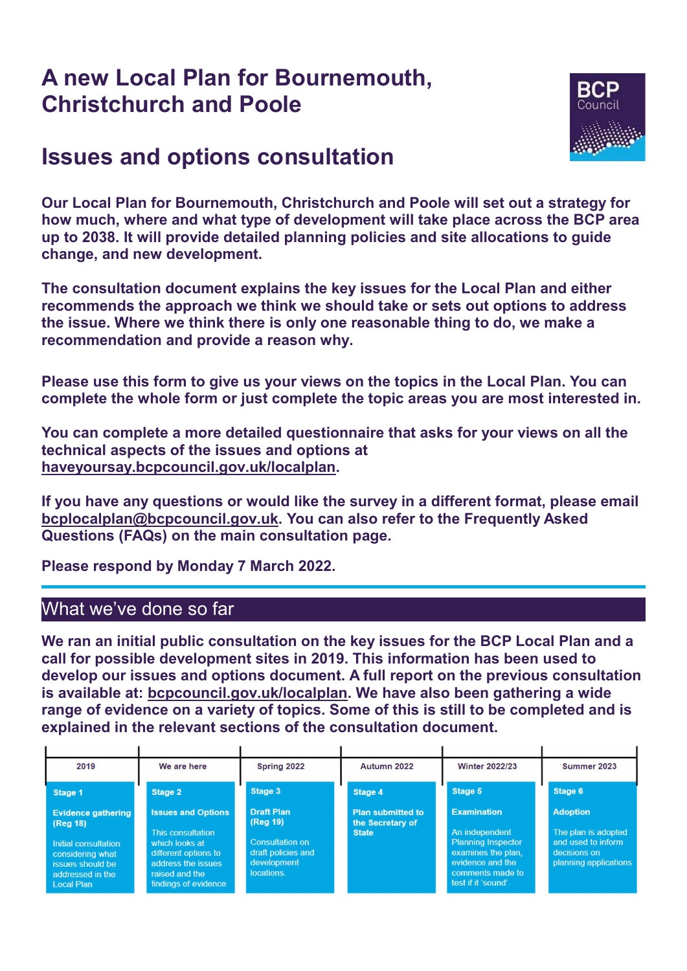# A new Local Plan for Bournemouth, Christchurch and Poole



# Issues and options consultation

Our Local Plan for Bournemouth, Christchurch and Poole will set out a strategy for how much, where and what type of development will take place across the BCP area up to 2038. It will provide detailed planning policies and site allocations to guide change, and new development.

The consultation document explains the key issues for the Local Plan and either recommends the approach we think we should take or sets out options to address the issue. Where we think there is only one reasonable thing to do, we make a recommendation and provide a reason why.

Please use this form to give us your views on the topics in the Local Plan. You can complete the whole form or just complete the topic areas you are most interested in.

You can complete a more detailed questionnaire that asks for your views on all the technical aspects of the issues and options at haveyoursay.bcpcouncil.gov.uk/localplan.

If you have any questions or would like the survey in a different format, please email bcplocalplan@bcpcouncil.gov.uk. You can also refer to the Frequently Asked Questions (FAQs) on the main consultation page.

Please respond by Monday 7 March 2022.

## What we've done so far

We ran an initial public consultation on the key issues for the BCP Local Plan and a call for possible development sites in 2019. This information has been used to develop our issues and options document. A full report on the previous consultation is available at: bcpcouncil.gov.uk/localplan. We have also been gathering a wide range of evidence on a variety of topics. Some of this is still to be completed and is explained in the relevant sections of the consultation document.

| 2019                                                                                                                                                 | We are here                                                                                                                                              | Spring 2022                                                                                         | Autumn 2022                                                  | <b>Winter 2022/23</b>                                                                                                                                 | Summer 2023                                                                                           |
|------------------------------------------------------------------------------------------------------------------------------------------------------|----------------------------------------------------------------------------------------------------------------------------------------------------------|-----------------------------------------------------------------------------------------------------|--------------------------------------------------------------|-------------------------------------------------------------------------------------------------------------------------------------------------------|-------------------------------------------------------------------------------------------------------|
| Stage 1                                                                                                                                              | Stage 2                                                                                                                                                  | Stage 3                                                                                             | Stage 4                                                      | Stage 5                                                                                                                                               | Stage 6                                                                                               |
| <b>Evidence gathering</b><br>$($ Reg 18 $)$<br>Initial consultation<br>considering what<br>issues should be<br>addressed in the<br><b>Local Plan</b> | <b>Issues and Options</b><br>This consultation<br>which looks at<br>different options to<br>address the issues<br>raised and the<br>findings of evidence | <b>Draft Plan</b><br>(Reg 19)<br>Consultation on<br>draft policies and<br>development<br>locations. | <b>Plan submitted to</b><br>the Secretary of<br><b>State</b> | <b>Examination</b><br>An independent<br><b>Planning Inspector</b><br>examines the plan.<br>evidence and the<br>comments made to<br>test if it 'sound' | <b>Adoption</b><br>The plan is adopted<br>and used to inform<br>decisions on<br>planning applications |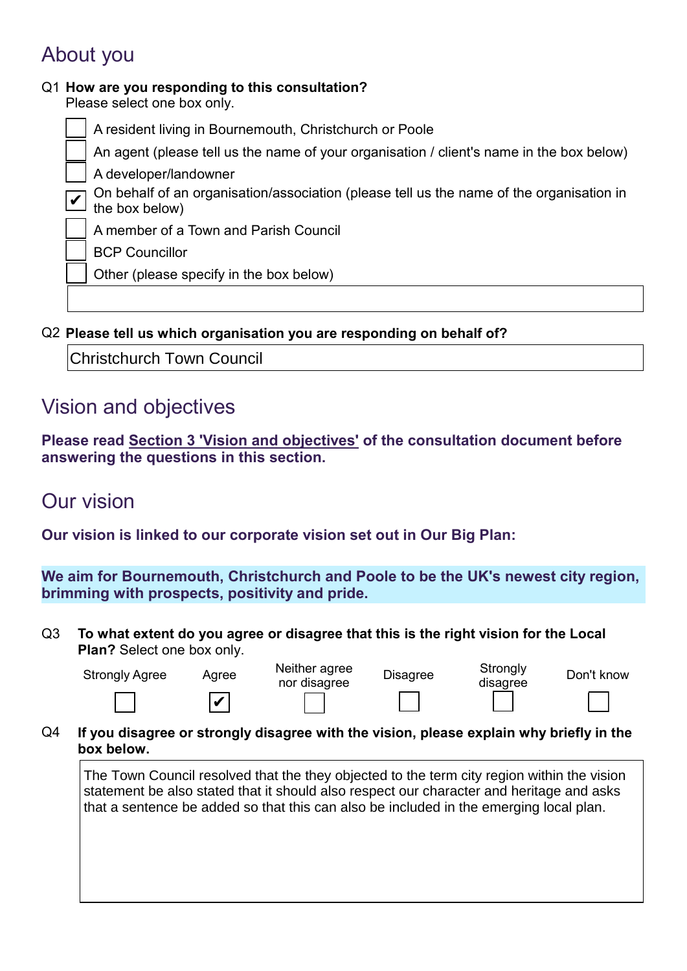# About you

✔

## Q1 How are you responding to this consultation?

Please select one box only.

A resident living in Bournemouth, Christchurch or Poole An agent (please tell us the name of your organisation / client's name in the box below) A developer/landowner

On behalf of an organisation/association (please tell us the name of the organisation in the box below)

A member of a Town and Parish Council

BCP Councillor

Other (please specify in the box below)

Q2 Please tell us which organisation you are responding on behalf of?

Christchurch Town Council

## Vision and objectives

Please read Section 3 'Vision and objectives' of the consultation document before answering the questions in this section.

## Our vision

Our vision is linked to our corporate vision set out in Our Big Plan:

We aim for Bournemouth, Christchurch and Poole to be the UK's newest city region, brimming with prospects, positivity and pride.

Q3 To what extent do you agree or disagree that this is the right vision for the Local Plan? Select one box only.

| <b>Strongly Agree</b> | Agree | Neither agree | <b>Disagree</b> | Strongly |
|-----------------------|-------|---------------|-----------------|----------|
|                       |       | nor disagree  |                 | disagree |

✔

| ее |  |  |
|----|--|--|
|    |  |  |

|  | г<br>×<br>۹ |  |
|--|-------------|--|
|  |             |  |
|  |             |  |

Strongly<br>disagree

| Don't know |
|------------|
|            |

| ۰, |
|----|
|    |
|    |
|    |
|    |

Q4 If you disagree or strongly disagree with the vision, please explain why briefly in the box below.

The Town Council resolved that the they objected to the term city region within the vision statement be also stated that it should also respect our character and heritage and asks that a sentence be added so that this can also be included in the emerging local plan.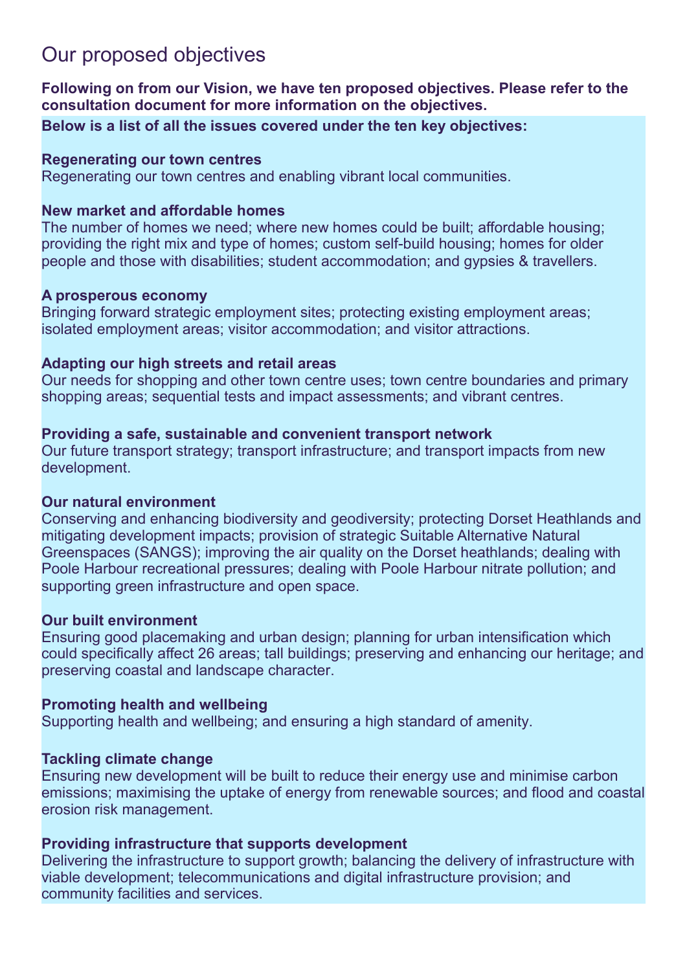# Our proposed objectives

Following on from our Vision, we have ten proposed objectives. Please refer to the consultation document for more information on the objectives.

Below is a list of all the issues covered under the ten key objectives:

### Regenerating our town centres

Regenerating our town centres and enabling vibrant local communities.

### New market and affordable homes

The number of homes we need; where new homes could be built; affordable housing; providing the right mix and type of homes; custom self-build housing; homes for older people and those with disabilities; student accommodation; and gypsies & travellers.

### A prosperous economy

Bringing forward strategic employment sites; protecting existing employment areas; isolated employment areas; visitor accommodation; and visitor attractions.

### Adapting our high streets and retail areas

Our needs for shopping and other town centre uses; town centre boundaries and primary shopping areas; sequential tests and impact assessments; and vibrant centres.

## Providing a safe, sustainable and convenient transport network

Our future transport strategy; transport infrastructure; and transport impacts from new development.

## Our natural environment

Conserving and enhancing biodiversity and geodiversity; protecting Dorset Heathlands and mitigating development impacts; provision of strategic Suitable Alternative Natural Greenspaces (SANGS); improving the air quality on the Dorset heathlands; dealing with Poole Harbour recreational pressures; dealing with Poole Harbour nitrate pollution; and supporting green infrastructure and open space.

## Our built environment

Ensuring good placemaking and urban design; planning for urban intensification which could specifically affect 26 areas; tall buildings; preserving and enhancing our heritage; and preserving coastal and landscape character.

## Promoting health and wellbeing

Supporting health and wellbeing; and ensuring a high standard of amenity.

## Tackling climate change

Ensuring new development will be built to reduce their energy use and minimise carbon emissions; maximising the uptake of energy from renewable sources; and flood and coastal erosion risk management.

## Providing infrastructure that supports development

Delivering the infrastructure to support growth; balancing the delivery of infrastructure with viable development; telecommunications and digital infrastructure provision; and community facilities and services.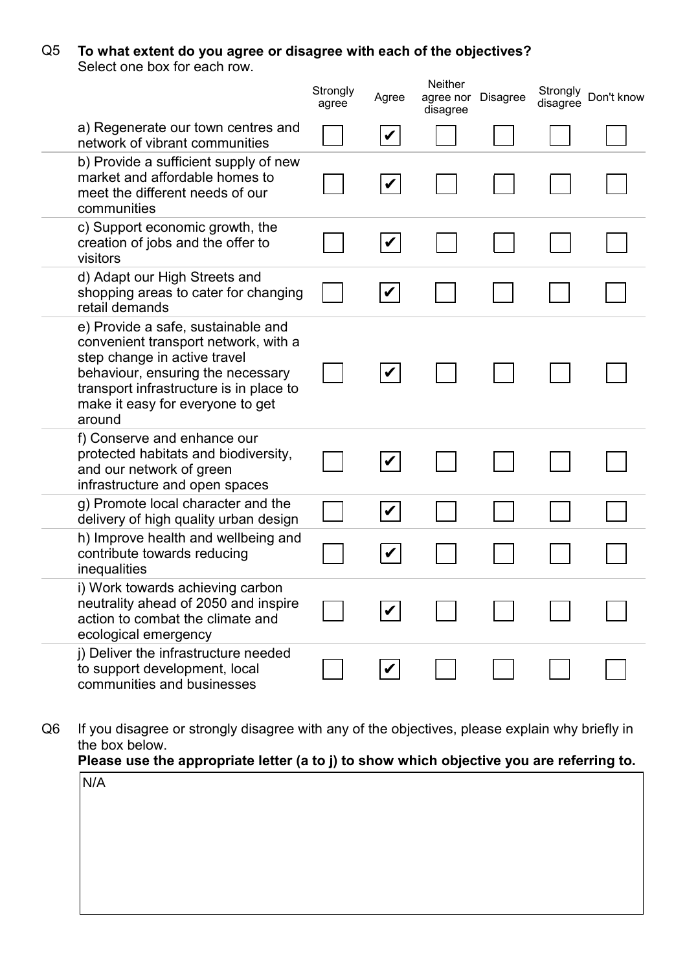### Q5 To what extent do you agree or disagree with each of the objectives?

Select one box for each row.

|                                                                                                                                                                                                                                          | Strongly<br>agree | Agree                | <b>Neither</b><br>agree nor<br>disagree | <b>Disagree</b> | Strongly<br>disagree | Don't know |
|------------------------------------------------------------------------------------------------------------------------------------------------------------------------------------------------------------------------------------------|-------------------|----------------------|-----------------------------------------|-----------------|----------------------|------------|
| a) Regenerate our town centres and<br>network of vibrant communities                                                                                                                                                                     |                   | V                    |                                         |                 |                      |            |
| b) Provide a sufficient supply of new<br>market and affordable homes to<br>meet the different needs of our<br>communities                                                                                                                |                   | $\boldsymbol{V}$     |                                         |                 |                      |            |
| c) Support economic growth, the<br>creation of jobs and the offer to<br>visitors                                                                                                                                                         |                   | $\blacktriangledown$ |                                         |                 |                      |            |
| d) Adapt our High Streets and<br>shopping areas to cater for changing<br>retail demands                                                                                                                                                  |                   |                      |                                         |                 |                      |            |
| e) Provide a safe, sustainable and<br>convenient transport network, with a<br>step change in active travel<br>behaviour, ensuring the necessary<br>transport infrastructure is in place to<br>make it easy for everyone to get<br>around |                   |                      |                                         |                 |                      |            |
| f) Conserve and enhance our<br>protected habitats and biodiversity,<br>and our network of green<br>infrastructure and open spaces                                                                                                        |                   |                      |                                         |                 |                      |            |
| g) Promote local character and the<br>delivery of high quality urban design                                                                                                                                                              |                   |                      |                                         |                 |                      |            |
| h) Improve health and wellbeing and<br>contribute towards reducing<br>inequalities                                                                                                                                                       |                   |                      |                                         |                 |                      |            |
| i) Work towards achieving carbon<br>neutrality ahead of 2050 and inspire<br>action to combat the climate and<br>ecological emergency                                                                                                     |                   |                      |                                         |                 |                      |            |
| j) Deliver the infrastructure needed<br>to support development, local<br>communities and businesses                                                                                                                                      |                   |                      |                                         |                 |                      |            |

Q6 If you disagree or strongly disagree with any of the objectives, please explain why briefly in the box below.<br>**Please use the** 

| Please use the appropriate letter (a to j) to show which objective you are referring to. |  |  |
|------------------------------------------------------------------------------------------|--|--|
|------------------------------------------------------------------------------------------|--|--|

| N/A |  |  |  |
|-----|--|--|--|
|     |  |  |  |
|     |  |  |  |
|     |  |  |  |
|     |  |  |  |
|     |  |  |  |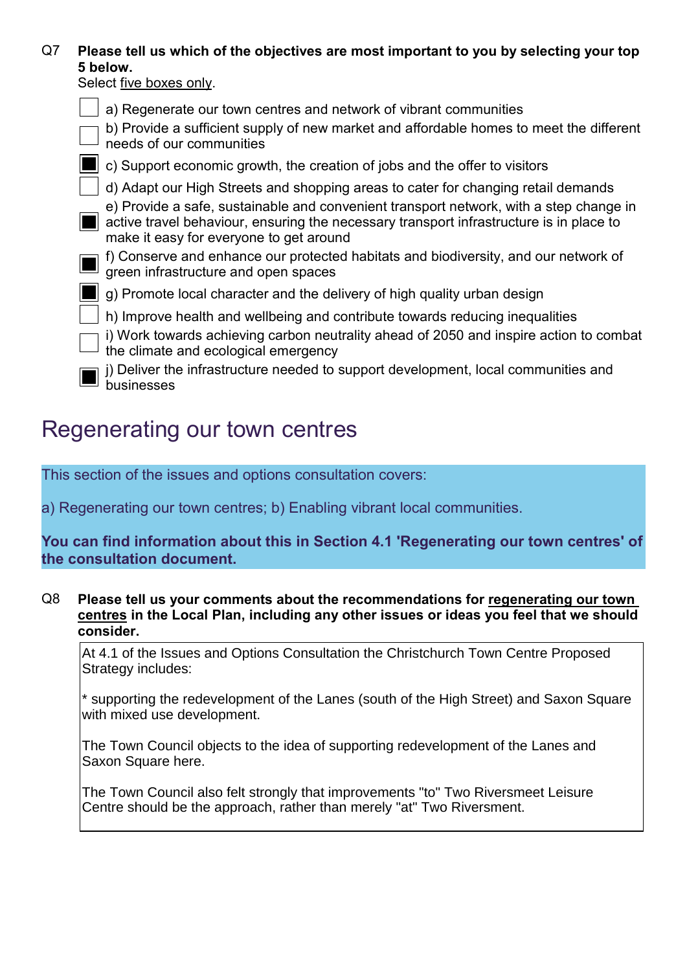### Q7 Please tell us which of the objectives are most important to you by selecting your top 5 below.

Select five boxes only.

| a) Regenerate our town centres and network of vibrant communities                                                                                                                                                            |
|------------------------------------------------------------------------------------------------------------------------------------------------------------------------------------------------------------------------------|
| b) Provide a sufficient supply of new market and affordable homes to meet the different<br>needs of our communities                                                                                                          |
| c) Support economic growth, the creation of jobs and the offer to visitors                                                                                                                                                   |
| d) Adapt our High Streets and shopping areas to cater for changing retail demands                                                                                                                                            |
| e) Provide a safe, sustainable and convenient transport network, with a step change in<br>active travel behaviour, ensuring the necessary transport infrastructure is in place to<br>make it easy for everyone to get around |
| f) Conserve and enhance our protected habitats and biodiversity, and our network of<br>green infrastructure and open spaces                                                                                                  |
| g) Promote local character and the delivery of high quality urban design                                                                                                                                                     |
| h) Improve health and wellbeing and contribute towards reducing inequalities                                                                                                                                                 |
| i) Work towards achieving carbon neutrality ahead of 2050 and inspire action to combat<br>the climate and ecological emergency                                                                                               |
| i) Deliver the infrastructure needed to support development, local communities and<br>businesses                                                                                                                             |

# Regenerating our town centres

This section of the issues and options consultation covers:

a) Regenerating our town centres; b) Enabling vibrant local communities.

You can find information about this in Section 4.1 'Regenerating our town centres' of the consultation document.

Q8 Please tell us your comments about the recommendations for regenerating our town centres in the Local Plan, including any other issues or ideas you feel that we should consider.

At 4.1 of the Issues and Options Consultation the Christchurch Town Centre Proposed Strategy includes:

\* supporting the redevelopment of the Lanes (south of the High Street) and Saxon Square with mixed use development.

The Town Council objects to the idea of supporting redevelopment of the Lanes and Saxon Square here.

The Town Council also felt strongly that improvements "to" Two Riversmeet Leisure Centre should be the approach, rather than merely "at" Two Riversment.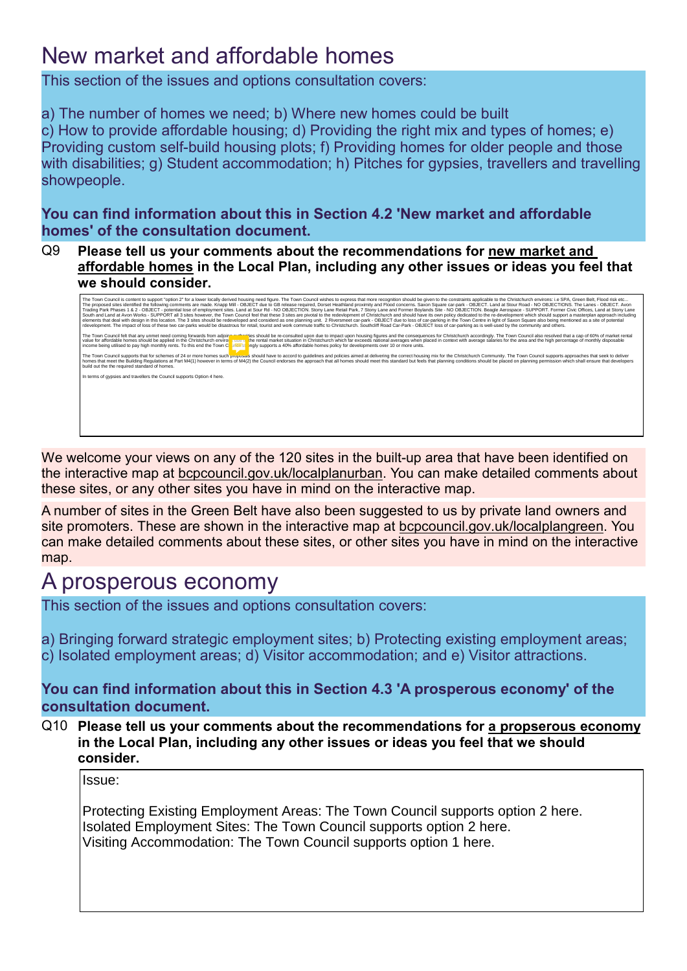# New market and affordable homes

This section of the issues and options consultation covers:

a) The number of homes we need; b) Where new homes could be built c) How to provide affordable housing; d) Providing the right mix and types of homes; e) Providing custom self-build housing plots; f) Providing homes for older people and those with disabilities; g) Student accommodation; h) Pitches for gypsies, travellers and travelling showpeople.

You can find information about this in Section 4.2 'New market and affordable homes' of the consultation document.

Q9 Please tell us your comments about the recommendations for new market and affordable homes in the Local Plan, including any other issues or ideas you feel that we should consider.

| The Town Council is content to support "option 2" for a lower locally derived housing need figure. The Town Council wishes to express that more recognition should be given to the constraints applicable to the Christchurch<br>The proposed sites identified the following comments are made. Knapp Mill - OBJECT due to GB release required, Dorset Heathland proximity and Flood concerns. Saxon Square car-park - OBJECT. Land at Stour Road - NO OBJECTIO<br>Trading Park Phases 1 & 2 - OBJECT - potential lose of employment sites, Land at Sour Rd - NO OBJECTION, Stony Lane Retail Park, 7 Stony Lane and Former Boylands Site - NO OBJECTION, Beagle Aerospace - SUPPORT, Former Civi<br>South and Land at Avon Works - SUPPORT all 3 sites however, the Town Council feel that these 3 sites are pivotal to the redevlopment of Christchurch and should have its own policy dedicated to the re-development which shou<br>elements that deal with design in this location. The 3 sites should be redeveloped and considerd as one planning unit. 2 Riversmeet car-park - OBJECT due to loss of car-parking in the Town Centre in light of Saxon Square a<br>rdevelopment. The impact of loss of these two car-parks would be disastrous for retail, tourist and work commute traffic to Christchurch. Southcliff Road Car-Park - OBJECT loss of car-parking as is well-used by the communi |
|---------------------------------------------------------------------------------------------------------------------------------------------------------------------------------------------------------------------------------------------------------------------------------------------------------------------------------------------------------------------------------------------------------------------------------------------------------------------------------------------------------------------------------------------------------------------------------------------------------------------------------------------------------------------------------------------------------------------------------------------------------------------------------------------------------------------------------------------------------------------------------------------------------------------------------------------------------------------------------------------------------------------------------------------------------------------------------------------------------------------------------------------------------------------------------------------------------------------------------------------------------------------------------------------------------------------------------------------------------------------------------------------------------|
| The Town Council felt that any unmet need coming forwards from adjoing outhorities should be re-consulted upon due to impact upon housing figures and the consequences for Christchurch accordingly. The Town Council also res<br>value for affordable homes should be applied in the Christchurch enviror sque<br>the rental market situation in Christchurch which far exceeds national averages when placed in context with average salaries for the area and the high percentage of monthly disposable<br>income being utilised to pay high monthly rents. To this end the Town C<br>onaly supports a 40% affordable homes policy for developments over 10 or more units.<br>The Town Council supports that for schemes of 24 or more homes such proposals should have to accord to quidelines and policies aimed at delivering the correct housing mix for the Christchurch Community. The Town Council su<br>homes that meet the Building Regulations at Part M4(1) however in terms of M4(2) the Council endorses the approach that all homes should meet this standard but feels that planning conditions should be placed on planning pe<br>build out the the required standard of homes.                                                                                                                                                                                                      |
| In terms of gypsies and travellers the Council supports Option 4 here.                                                                                                                                                                                                                                                                                                                                                                                                                                                                                                                                                                                                                                                                                                                                                                                                                                                                                                                                                                                                                                                                                                                                                                                                                                                                                                                                  |
|                                                                                                                                                                                                                                                                                                                                                                                                                                                                                                                                                                                                                                                                                                                                                                                                                                                                                                                                                                                                                                                                                                                                                                                                                                                                                                                                                                                                         |
|                                                                                                                                                                                                                                                                                                                                                                                                                                                                                                                                                                                                                                                                                                                                                                                                                                                                                                                                                                                                                                                                                                                                                                                                                                                                                                                                                                                                         |
|                                                                                                                                                                                                                                                                                                                                                                                                                                                                                                                                                                                                                                                                                                                                                                                                                                                                                                                                                                                                                                                                                                                                                                                                                                                                                                                                                                                                         |

We welcome your views on any of the 120 sites in the built-up area that have been identified on the interactive map at bcpcouncil.gov.uk/localplanurban. You can make detailed comments about these sites, or any other sites you have in mind on the interactive map.

A number of sites in the Green Belt have also been suggested to us by private land owners and site promoters. These are shown in the interactive map at bcpcouncil.gov.uk/localplangreen. You can make detailed comments about these sites, or other sites you have in mind on the interactive map.

# A prosperous economy

This section of the issues and options consultation covers:

a) Bringing forward strategic employment sites; b) Protecting existing employment areas; c) Isolated employment areas; d) Visitor accommodation; and e) Visitor attractions.

You can find information about this in Section 4.3 'A prosperous economy' of the consultation document.

Q10 Please tell us your comments about the recommendations for a propserous economy in the Local Plan, including any other issues or ideas you feel that we should consider.

Issue:

Protecting Existing Employment Areas: The Town Council supports option 2 here. Isolated Employment Sites: The Town Council supports option 2 here. Visiting Accommodation: The Town Council supports option 1 here.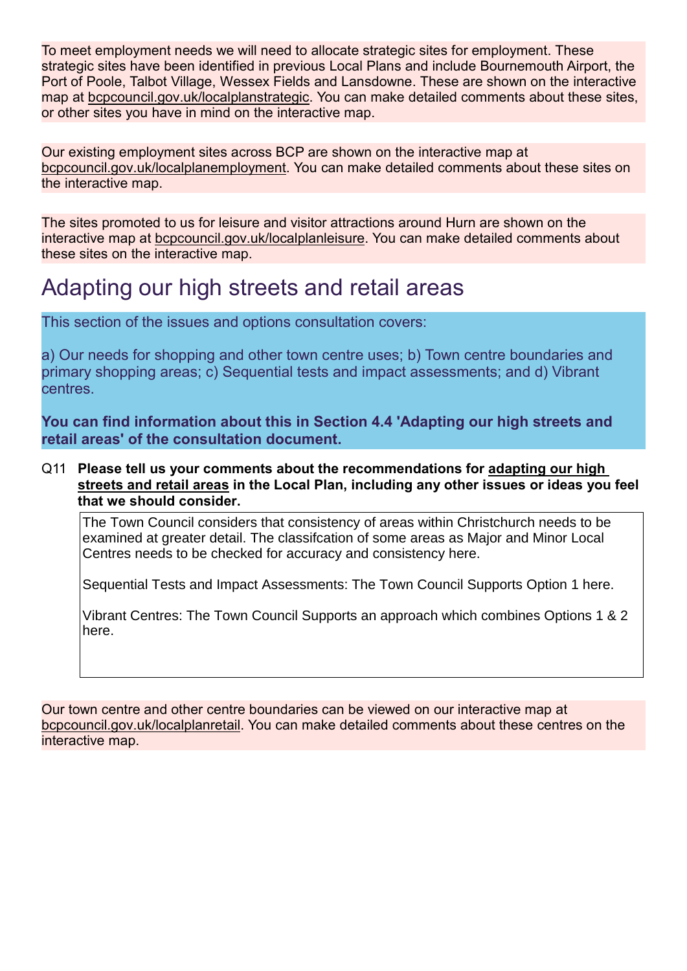To meet employment needs we will need to allocate strategic sites for employment. These strategic sites have been identified in previous Local Plans and include Bournemouth Airport, the Port of Poole, Talbot Village, Wessex Fields and Lansdowne. These are shown on the interactive map at bcpcouncil.gov.uk/localplanstrategic. You can make detailed comments about these sites, or other sites you have in mind on the interactive map.

Our existing employment sites across BCP are shown on the interactive map at bcpcouncil.gov.uk/localplanemployment. You can make detailed comments about these sites on the interactive map.

The sites promoted to us for leisure and visitor attractions around Hurn are shown on the interactive map at bcpcouncil.gov.uk/localplanleisure. You can make detailed comments about these sites on the interactive map.

# Adapting our high streets and retail areas

This section of the issues and options consultation covers:

a) Our needs for shopping and other town centre uses; b) Town centre boundaries and primary shopping areas; c) Sequential tests and impact assessments; and d) Vibrant centres.

You can find information about this in Section 4.4 'Adapting our high streets and retail areas' of the consultation document.

#### Q11 Please tell us your comments about the recommendations for adapting our high streets and retail areas in the Local Plan, including any other issues or ideas you feel that we should consider.

The Town Council considers that consistency of areas within Christchurch needs to be examined at greater detail. The classifcation of some areas as Major and Minor Local Centres needs to be checked for accuracy and consistency here.

Sequential Tests and Impact Assessments: The Town Council Supports Option 1 here.

Vibrant Centres: The Town Council Supports an approach which combines Options 1 & 2 here.

Our town centre and other centre boundaries can be viewed on our interactive map at bcpcouncil.gov.uk/localplanretail. You can make detailed comments about these centres on the interactive map.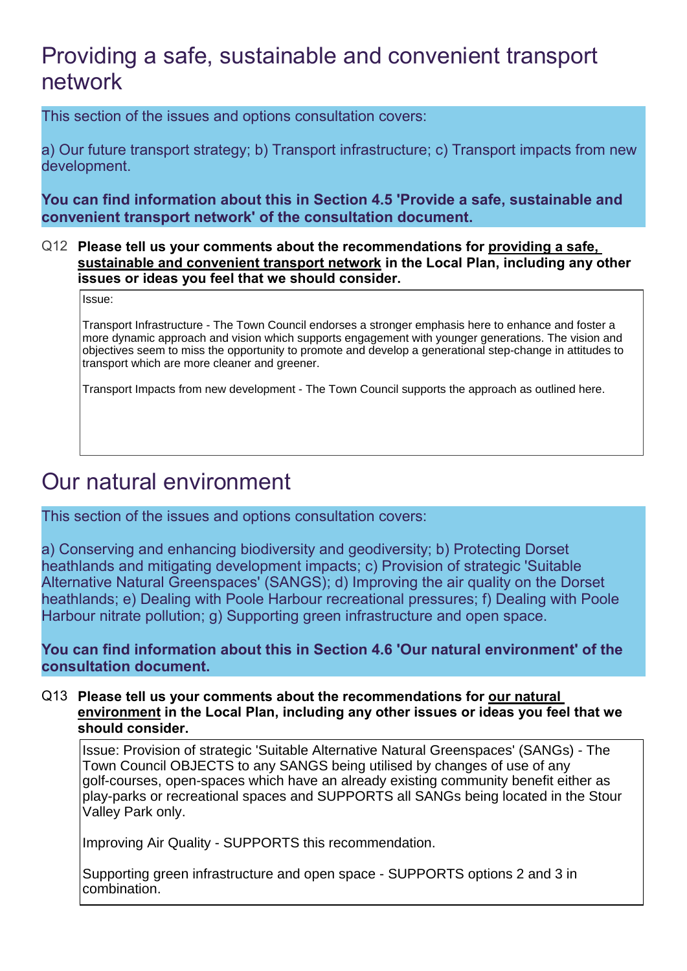# Providing a safe, sustainable and convenient transport network

This section of the issues and options consultation covers:

a) Our future transport strategy; b) Transport infrastructure; c) Transport impacts from new development.

You can find information about this in Section 4.5 'Provide a safe, sustainable and convenient transport network' of the consultation document.

#### Q12 Please tell us your comments about the recommendations for providing a safe, sustainable and convenient transport network in the Local Plan, including any other issues or ideas you feel that we should consider.

Issue:

Transport Infrastructure - The Town Council endorses a stronger emphasis here to enhance and foster a more dynamic approach and vision which supports engagement with younger generations. The vision and objectives seem to miss the opportunity to promote and develop a generational step-change in attitudes to transport which are more cleaner and greener.

Transport Impacts from new development - The Town Council supports the approach as outlined here.

# Our natural environment

This section of the issues and options consultation covers:

a) Conserving and enhancing biodiversity and geodiversity; b) Protecting Dorset heathlands and mitigating development impacts; c) Provision of strategic 'Suitable Alternative Natural Greenspaces' (SANGS); d) Improving the air quality on the Dorset heathlands; e) Dealing with Poole Harbour recreational pressures; f) Dealing with Poole Harbour nitrate pollution; g) Supporting green infrastructure and open space.

### You can find information about this in Section 4.6 'Our natural environment' of the consultation document.

#### Q13 Please tell us your comments about the recommendations for our natural environment in the Local Plan, including any other issues or ideas you feel that we should consider.

Issue: Provision of strategic 'Suitable Alternative Natural Greenspaces' (SANGs) - The Town Council OBJECTS to any SANGS being utilised by changes of use of any golf-courses, open-spaces which have an already existing community benefit either as play-parks or recreational spaces and SUPPORTS all SANGs being located in the Stour Valley Park only.

Improving Air Quality - SUPPORTS this recommendation.

Supporting green infrastructure and open space - SUPPORTS options 2 and 3 in combination.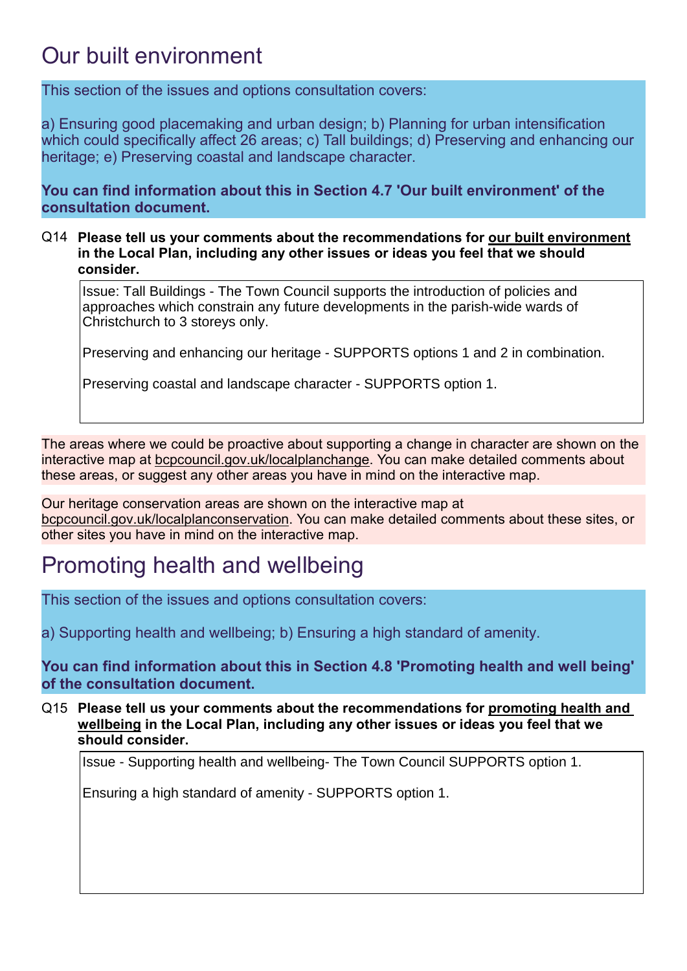# Our built environment

This section of the issues and options consultation covers:

a) Ensuring good placemaking and urban design; b) Planning for urban intensification which could specifically affect 26 areas; c) Tall buildings; d) Preserving and enhancing our heritage; e) Preserving coastal and landscape character.

You can find information about this in Section 4.7 'Our built environment' of the consultation document.

#### Q14 Please tell us your comments about the recommendations for our built environment in the Local Plan, including any other issues or ideas you feel that we should consider.

Issue: Tall Buildings - The Town Council supports the introduction of policies and approaches which constrain any future developments in the parish-wide wards of Christchurch to 3 storeys only.

Preserving and enhancing our heritage - SUPPORTS options 1 and 2 in combination.

Preserving coastal and landscape character - SUPPORTS option 1.

The areas where we could be proactive about supporting a change in character are shown on the interactive map at bcpcouncil.gov.uk/localplanchange. You can make detailed comments about these areas, or suggest any other areas you have in mind on the interactive map.

Our heritage conservation areas are shown on the interactive map at bcpcouncil.gov.uk/localplanconservation. You can make detailed comments about these sites, or other sites you have in mind on the interactive map.

# Promoting health and wellbeing

This section of the issues and options consultation covers:

a) Supporting health and wellbeing; b) Ensuring a high standard of amenity.

You can find information about this in Section 4.8 'Promoting health and well being' of the consultation document.

Q15 Please tell us your comments about the recommendations for promoting health and wellbeing in the Local Plan, including any other issues or ideas you feel that we should consider.

Issue - Supporting health and wellbeing- The Town Council SUPPORTS option 1.

Ensuring a high standard of amenity - SUPPORTS option 1.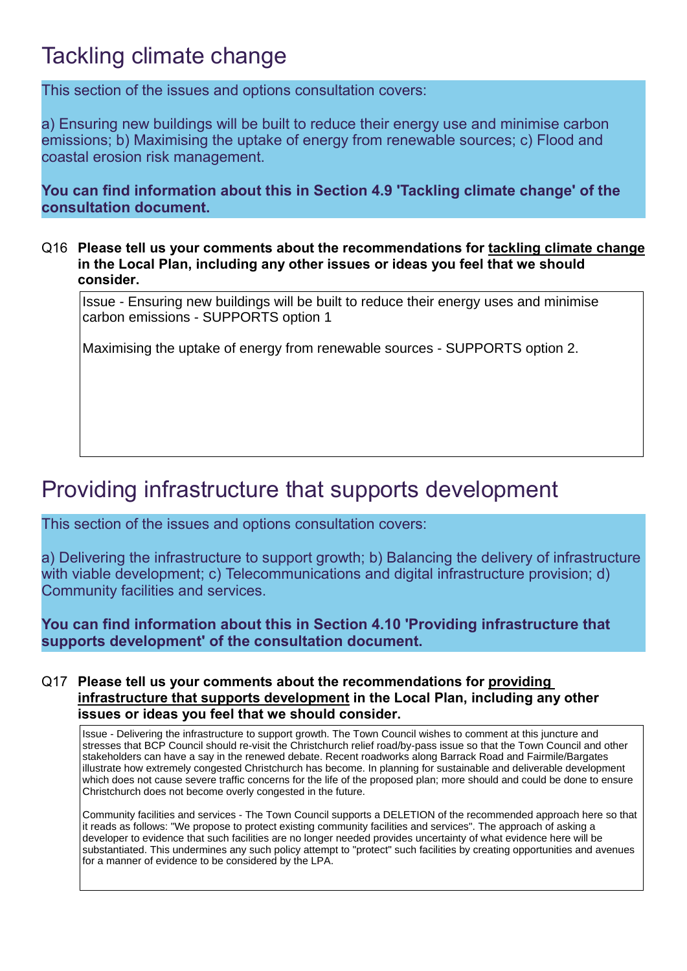# Tackling climate change

This section of the issues and options consultation covers:

a) Ensuring new buildings will be built to reduce their energy use and minimise carbon emissions; b) Maximising the uptake of energy from renewable sources; c) Flood and coastal erosion risk management.

You can find information about this in Section 4.9 'Tackling climate change' of the consultation document.

Q16 Please tell us your comments about the recommendations for tackling climate change in the Local Plan, including any other issues or ideas you feel that we should consider.

Issue - Ensuring new buildings will be built to reduce their energy uses and minimise carbon emissions - SUPPORTS option 1

Maximising the uptake of energy from renewable sources - SUPPORTS option 2.

# Providing infrastructure that supports development

This section of the issues and options consultation covers:

a) Delivering the infrastructure to support growth; b) Balancing the delivery of infrastructure with viable development; c) Telecommunications and digital infrastructure provision; d) Community facilities and services.

You can find information about this in Section 4.10 'Providing infrastructure that supports development' of the consultation document.

#### Q17 Please tell us your comments about the recommendations for providing infrastructure that supports development in the Local Plan, including any other issues or ideas you feel that we should consider.

Issue - Delivering the infrastructure to support growth. The Town Council wishes to comment at this juncture and stresses that BCP Council should re-visit the Christchurch relief road/by-pass issue so that the Town Council and other stakeholders can have a say in the renewed debate. Recent roadworks along Barrack Road and Fairmile/Bargates illustrate how extremely congested Christchurch has become. In planning for sustainable and deliverable development which does not cause severe traffic concerns for the life of the proposed plan; more should and could be done to ensure Christchurch does not become overly congested in the future.

Community facilities and services - The Town Council supports a DELETION of the recommended approach here so that it reads as follows: "We propose to protect existing community facilities and services". The approach of asking a developer to evidence that such facilities are no longer needed provides uncertainty of what evidence here will be substantiated. This undermines any such policy attempt to "protect" such facilities by creating opportunities and avenues for a manner of evidence to be considered by the LPA.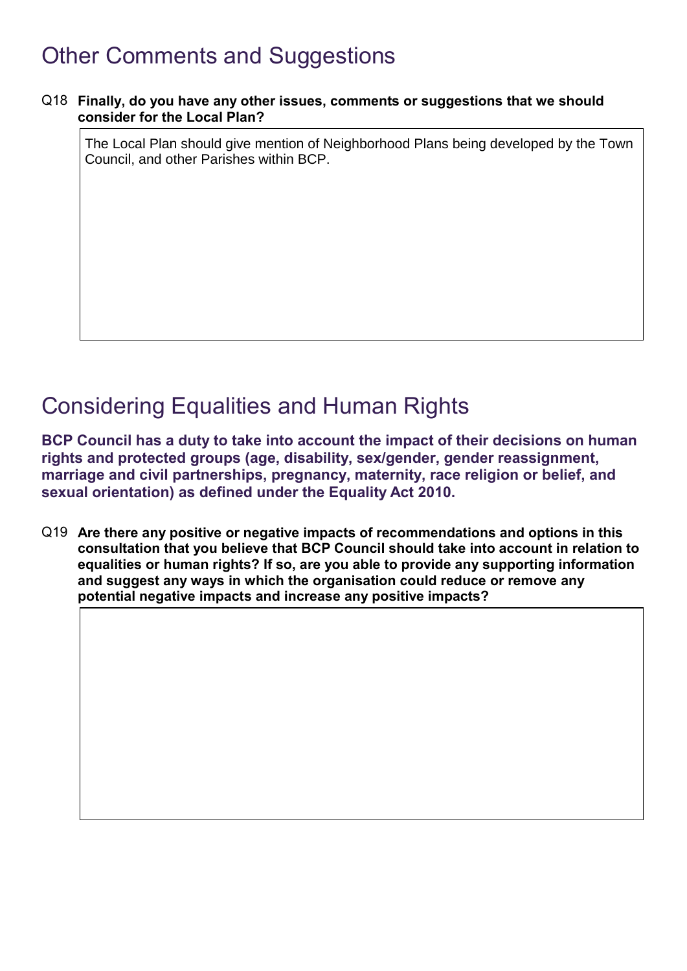# Other Comments and Suggestions

#### Q18 Finally, do you have any other issues, comments or suggestions that we should consider for the Local Plan?

The Local Plan should give mention of Neighborhood Plans being developed by the Town Council, and other Parishes within BCP.

# Considering Equalities and Human Rights

BCP Council has a duty to take into account the impact of their decisions on human rights and protected groups (age, disability, sex/gender, gender reassignment, marriage and civil partnerships, pregnancy, maternity, race religion or belief, and sexual orientation) as defined under the Equality Act 2010.

Q19 Are there any positive or negative impacts of recommendations and options in this consultation that you believe that BCP Council should take into account in relation to equalities or human rights? If so, are you able to provide any supporting information and suggest any ways in which the organisation could reduce or remove any potential negative impacts and increase any positive impacts?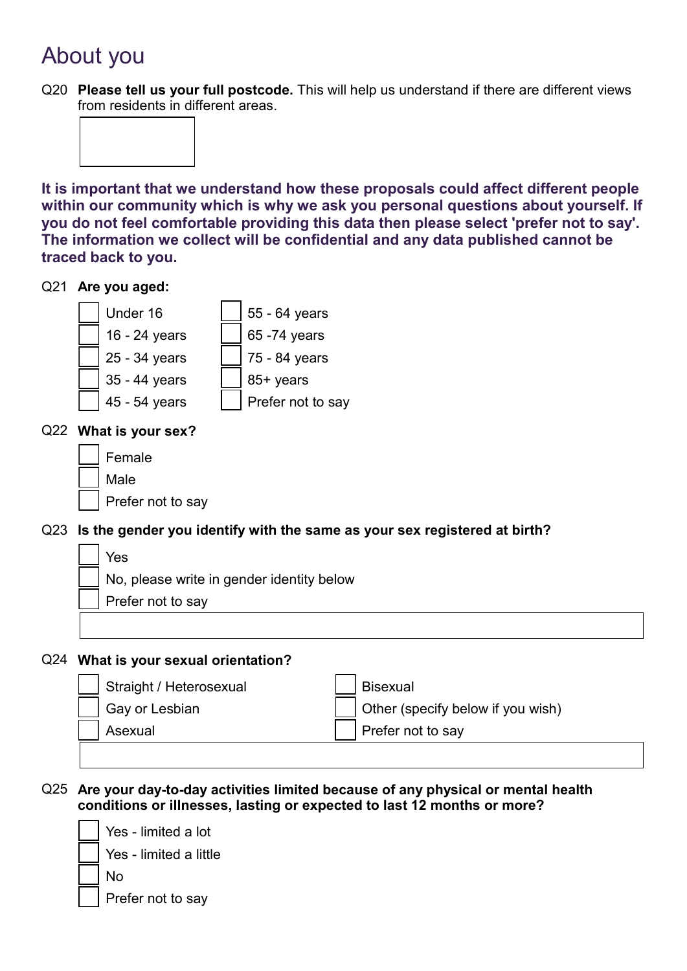# About you

Q20 Please tell us your full postcode. This will help us understand if there are different views from residents in different areas.



It is important that we understand how these proposals could affect different people within our community which is why we ask you personal questions about yourself. If you do not feel comfortable providing this data then please select 'prefer not to say'. The information we collect will be confidential and any data published cannot be traced back to you.

#### Q21 Are you aged:



### Q22 What is your sex?

| Female            |
|-------------------|
| Male              |
| Prefer not to say |

## Q23 Is the gender you identify with the same as your sex registered at birth?

| Yes                                       |
|-------------------------------------------|
| No, please write in gender identity below |
| Prefer not to say                         |
|                                           |

#### Q24 What is your sexual orientation?

| Straight / Heterosexual | <b>Bisexual</b>                   |
|-------------------------|-----------------------------------|
| $\Box$ Gay or Lesbian   | Other (specify below if you wish) |
| Asexual                 | Prefer not to say                 |
|                         |                                   |

### Q25 Are your day-to-day activities limited because of any physical or mental health conditions or illnesses, lasting or expected to last 12 months or more?

Yes - limited a lot Yes - limited a little

No

Prefer not to say